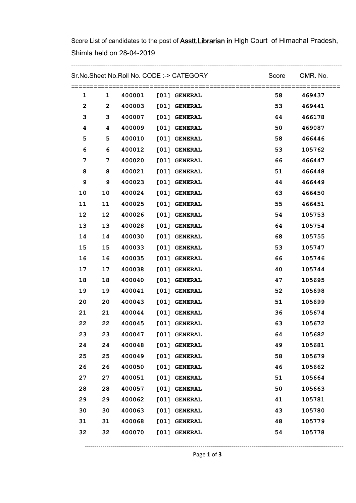Score List of candidates to the post of Asstt. Librarian in High Court of Himachal Pradesh, Shimla held on 28-04-2019

|              |                 |        | Sr.No.Sheet No.Roll No. CODE :-> CATEGORY |         | Score OMR. No. |
|--------------|-----------------|--------|-------------------------------------------|---------|----------------|
| $\mathbf{1}$ | $\mathbf{1}$    |        | 400001 [01] GENERAL                       | 58 — 1  | 469437         |
| 2            | $\mathbf{2}$    |        | 400003 [01] GENERAL                       | 53 7    | 469441         |
| 3            | 3               |        | 400007 [01] GENERAL                       | 64 — 10 | 466178         |
| 4            | 4               |        | 400009 [01] GENERAL                       | 50 10   | 469087         |
| 5            | 5               |        | 400010 [01] GENERAL                       | 58 7    | 466446         |
| 6            | 6               |        | 400012 [01] GENERAL                       | 53      | 105762         |
| 7            | $7\phantom{.0}$ |        | 400020 [01] GENERAL                       | 66 — 1  | 466447         |
| 8            | 8               |        | 400021 [01] GENERAL                       | 51      | 466448         |
| 9            | 9               |        | 400023 [01] GENERAL                       | 44      | 466449         |
| 10           | 10              |        | 400024 [01] GENERAL                       | 63      | 466450         |
| 11           | 11              |        | 400025 [01] GENERAL                       | 55      | 466451         |
| 12           | 12              |        | 400026 [01] GENERAL                       | 54      | 105753         |
| 13           | 13              |        | 400028 [01] GENERAL                       | 64 — 1  | 105754         |
| 14           | 14              |        | 400030 [01] GENERAL                       | 68      | 105755         |
| 15           | 15              |        | 400033 [01] GENERAL                       | 53      | 105747         |
| 16           | 16              |        | 400035 [01] GENERAL                       | 66      | 105746         |
| 17           | 17              |        | 400038 [01] GENERAL                       | 40      | 105744         |
| 18           | 18              |        | 400040 [01] GENERAL                       | 47      | 105695         |
| 19           | 19              |        | 400041 [01] GENERAL                       | 52      | 105698         |
| 20           | 20              |        | 400043 [01] GENERAL                       | 51      | 105699         |
| 21           | 21              |        | 400044 [01] GENERAL                       | 36      | 105674         |
| 22           | 22              |        | 400045 [01] GENERAL                       | 63      | 105672         |
| 23           | 23              | 400047 | [01] GENERAL                              | 64      | 105682         |
| 24           | 24              | 400048 | [01] GENERAL                              | 49      | 105681         |
| 25           | 25              | 400049 | [01] GENERAL                              | 58      | 105679         |
| 26           | 26              | 400050 | [01] GENERAL                              | 46      | 105662         |
| 27           | 27              | 400051 | [01] GENERAL                              | 51      | 105664         |
| 28           | 28              | 400057 | [01] GENERAL                              | 50      | 105663         |
| 29           | 29              | 400062 | [01] GENERAL                              | 41      | 105781         |
| 30           | 30              | 400063 | [01] GENERAL                              | 43      | 105780         |
| 31           | 31              | 400068 | [01] GENERAL                              | 48      | 105779         |
| 32           | 32              | 400070 | [01] GENERAL                              | 54      | 105778         |
|              |                 |        |                                           |         |                |

------------------------------------------------------------------------------------------------------------------------------------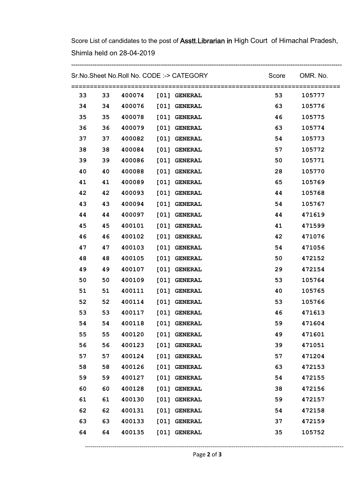Score List of candidates to the post of Asstt. Librarian in High Court of Himachal Pradesh, Shimla held on 28-04-2019

-------------------------------------------------------------------------------------------------------------------------------

| Sr.No.Sheet No.Roll No. CODE :-> CATEGORY |    |        |      |                     | Score | OMR. No.<br>========= |
|-------------------------------------------|----|--------|------|---------------------|-------|-----------------------|
| 33                                        | 33 | 400074 |      | [01] GENERAL        | 53    | 105777                |
| 34                                        | 34 | 400076 |      | [01] GENERAL        | 63    | 105776                |
| 35                                        | 35 | 400078 |      | [01] GENERAL        | 46    | 105775                |
| 36                                        | 36 | 400079 |      | [01] GENERAL        | 63    | 105774                |
| 37                                        | 37 | 400082 | [01] | <b>GENERAL</b>      | 54    | 105773                |
| 38                                        | 38 | 400084 |      | [01] GENERAL        | 57    | 105772                |
| 39                                        | 39 | 400086 | [01] | <b>GENERAL</b>      | 50    | 105771                |
| 40                                        | 40 | 400088 |      | [01] GENERAL        | 28    | 105770                |
| 41                                        | 41 | 400089 | [01] | <b>GENERAL</b>      | 65    | 105769                |
| 42                                        | 42 | 400093 |      | [01] GENERAL        | 44    | 105768                |
| 43                                        | 43 | 400094 | [01] | <b>GENERAL</b>      | 54    | 105767                |
| 44                                        | 44 | 400097 | [01] | <b>GENERAL</b>      | 44    | 471619                |
| 45                                        | 45 | 400101 | [01] | <b>GENERAL</b>      | 41    | 471599                |
| 46                                        | 46 | 400102 | [01] | <b>GENERAL</b>      | 42    | 471076                |
| 47                                        | 47 | 400103 | [01] | <b>GENERAL</b>      | 54    | 471056                |
| 48                                        | 48 | 400105 | [01] | <b>GENERAL</b>      | 50    | 472152                |
| 49                                        | 49 | 400107 | [01] | <b>GENERAL</b>      | 29    | 472154                |
| 50                                        | 50 | 400109 | [01] | <b>GENERAL</b>      | 53    | 105764                |
| 51                                        | 51 | 400111 | [01] | <b>GENERAL</b>      | 40    | 105765                |
| 52                                        | 52 | 400114 |      | [01] GENERAL        | 53    | 105766                |
| 53                                        | 53 | 400117 |      | [01] GENERAL        | 46    | 471613                |
| 54                                        | 54 | 400118 |      | [01] GENERAL        | 59    | 471604                |
| 55                                        | 55 | 400120 |      | [01] GENERAL        | 49    | 471601                |
| 56                                        | 56 |        |      | 400123 [01] GENERAL | 39    | 471051                |
| 57                                        | 57 |        |      | 400124 [01] GENERAL | 57    | 471204                |
| 58                                        | 58 |        |      | 400126 [01] GENERAL | 63    | 472153                |
| 59                                        | 59 |        |      | 400127 [01] GENERAL | 54    | 472155                |
| 60                                        | 60 |        |      | 400128 [01] GENERAL | 38    | 472156                |
| 61                                        | 61 |        |      | 400130 [01] GENERAL | 59    | 472157                |
| 62                                        | 62 |        |      | 400131 [01] GENERAL | 54    | 472158                |
| 63                                        | 63 |        |      | 400133 [01] GENERAL | 37    | 472159                |
| 64                                        | 64 |        |      | 400135 [01] GENERAL | 35    | 105752                |

------------------------------------------------------------------------------------------------------------------------------------